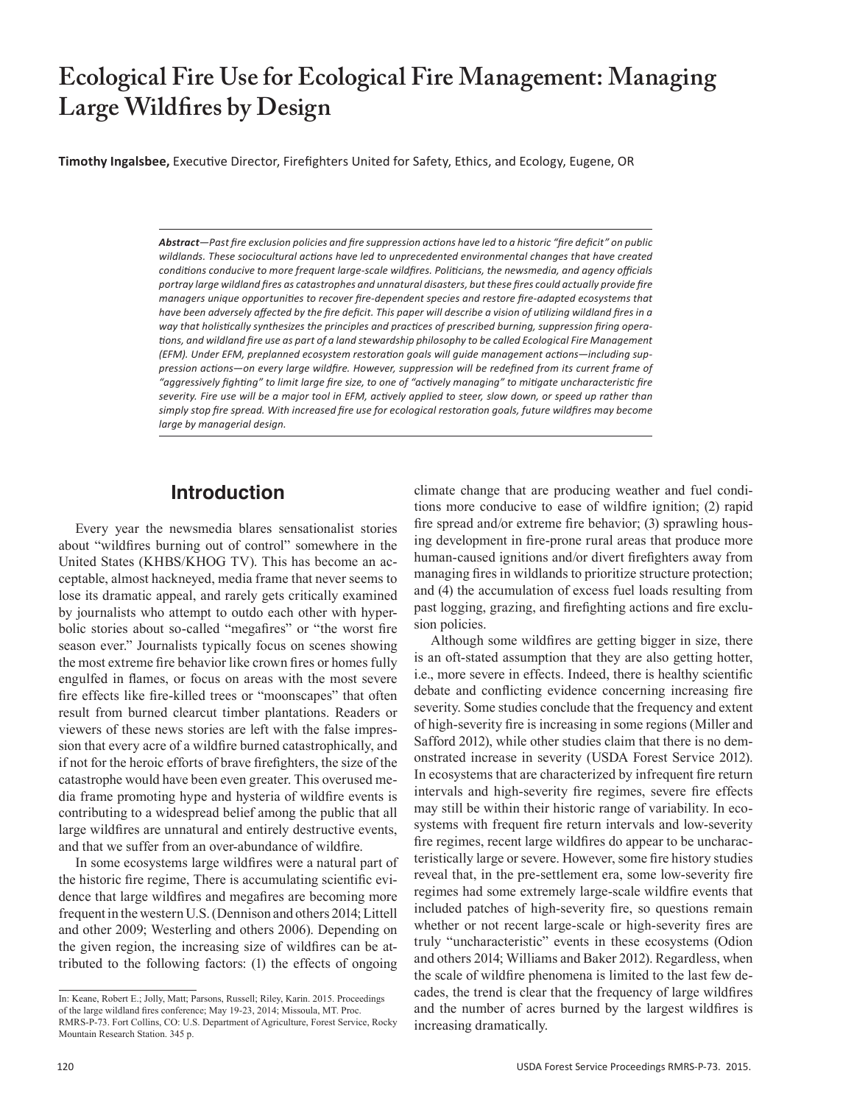# **Ecological Fire Use for Ecological Fire Management: Managing Large Wildfires by Design**

**Timothy Ingalsbee,** Executive Director, Firefighters United for Safety, Ethics, and Ecology, Eugene, OR

*Abstract—Past fire exclusion policies and fire suppression actions have led to a historic "fire deficit" on public wildlands. These sociocultural actions have led to unprecedented environmental changes that have created conditions conducive to more frequent large-scale wildfires. Politicians, the newsmedia, and agency officials portray large wildland fires as catastrophes and unnatural disasters, but these fires could actually provide fire managers unique opportunities to recover fire-dependent species and restore fire-adapted ecosystems that have been adversely affected by the fire deficit. This paper will describe a vision of utilizing wildland fires in a way that holistically synthesizes the principles and practices of prescribed burning, suppression firing operations, and wildland fire use as part of a land stewardship philosophy to be called Ecological Fire Management (EFM). Under EFM, preplanned ecosystem restoration goals will guide management actions—including suppression actions—on every large wildfire. However, suppression will be redefined from its current frame of "aggressively fighting" to limit large fire size, to one of "actively managing" to mitigate uncharacteristic fire severity. Fire use will be a major tool in EFM, actively applied to steer, slow down, or speed up rather than simply stop fire spread. With increased fire use for ecological restoration goals, future wildfires may become large by managerial design.*

### **Introduction**

Every year the newsmedia blares sensationalist stories about "wildfires burning out of control" somewhere in the United States (KHBS/KHOG TV). This has become an acceptable, almost hackneyed, media frame that never seems to lose its dramatic appeal, and rarely gets critically examined by journalists who attempt to outdo each other with hyperbolic stories about so-called "megafires" or "the worst fire season ever." Journalists typically focus on scenes showing the most extreme fire behavior like crown fires or homes fully engulfed in flames, or focus on areas with the most severe fire effects like fire-killed trees or "moonscapes" that often result from burned clearcut timber plantations. Readers or viewers of these news stories are left with the false impression that every acre of a wildfire burned catastrophically, and if not for the heroic efforts of brave firefighters, the size of the catastrophe would have been even greater. This overused media frame promoting hype and hysteria of wildfire events is contributing to a widespread belief among the public that all large wildfires are unnatural and entirely destructive events, and that we suffer from an over-abundance of wildfire.

In some ecosystems large wildfires were a natural part of the historic fire regime, There is accumulating scientific evidence that large wildfires and megafires are becoming more frequent in the western U.S. (Dennison and others 2014; Littell and other 2009; Westerling and others 2006). Depending on the given region, the increasing size of wildfires can be attributed to the following factors: (1) the effects of ongoing

climate change that are producing weather and fuel conditions more conducive to ease of wildfire ignition; (2) rapid fire spread and/or extreme fire behavior; (3) sprawling housing development in fire-prone rural areas that produce more human-caused ignitions and/or divert firefighters away from managing fires in wildlands to prioritize structure protection; and (4) the accumulation of excess fuel loads resulting from past logging, grazing, and firefighting actions and fire exclusion policies.

Although some wildfires are getting bigger in size, there is an oft-stated assumption that they are also getting hotter, i.e., more severe in effects. Indeed, there is healthy scientific debate and conflicting evidence concerning increasing fire severity. Some studies conclude that the frequency and extent of high-severity fire is increasing in some regions (Miller and Safford 2012), while other studies claim that there is no demonstrated increase in severity (USDA Forest Service 2012). In ecosystems that are characterized by infrequent fire return intervals and high-severity fire regimes, severe fire effects may still be within their historic range of variability. In ecosystems with frequent fire return intervals and low-severity fire regimes, recent large wildfires do appear to be uncharacteristically large or severe. However, some fire history studies reveal that, in the pre-settlement era, some low-severity fire regimes had some extremely large-scale wildfire events that included patches of high-severity fire, so questions remain whether or not recent large-scale or high-severity fires are truly "uncharacteristic" events in these ecosystems (Odion and others 2014; Williams and Baker 2012). Regardless, when the scale of wildfire phenomena is limited to the last few decades, the trend is clear that the frequency of large wildfires and the number of acres burned by the largest wildfires is increasing dramatically.

In: Keane, Robert E.; Jolly, Matt; Parsons, Russell; Riley, Karin. 2015. Proceedings of the large wildland fires conference; May 19-23, 2014; Missoula, MT. Proc. RMRS-P-73. Fort Collins, CO: U.S. Department of Agriculture, Forest Service, Rocky Mountain Research Station. 345 p.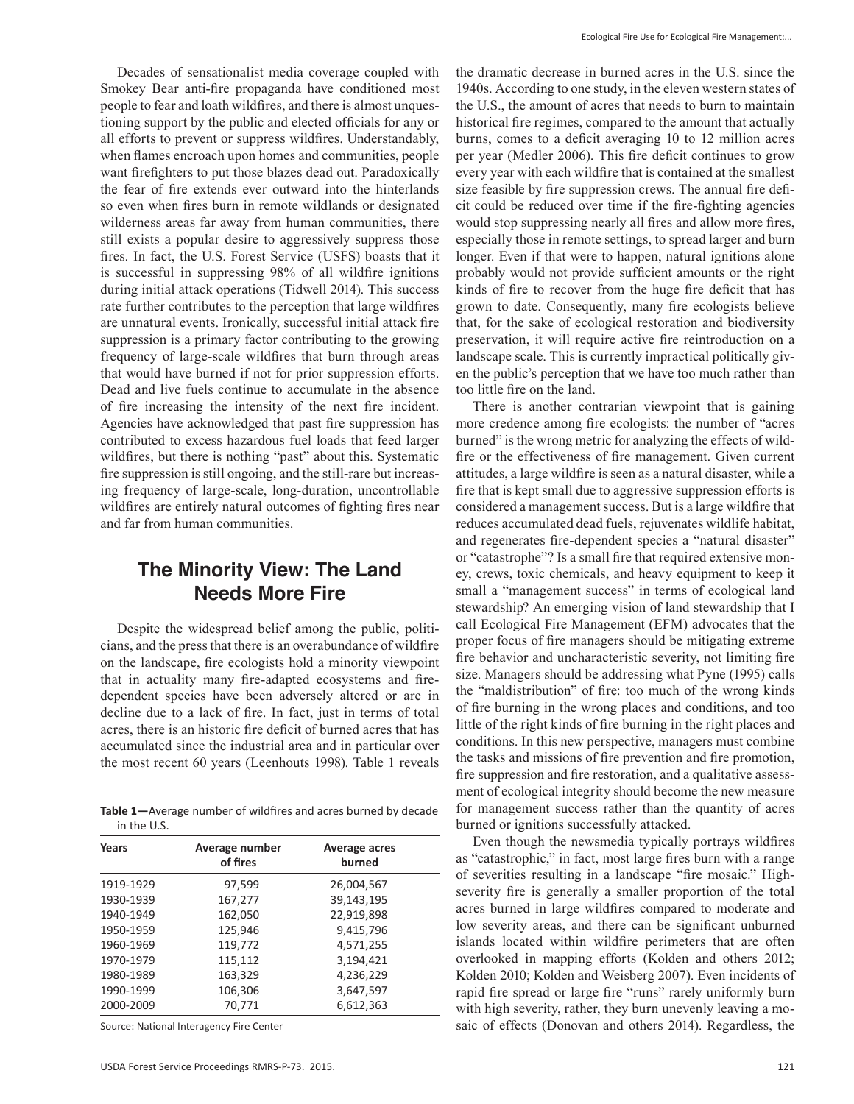Decades of sensationalist media coverage coupled with Smokey Bear anti-fire propaganda have conditioned most people to fear and loath wildfires, and there is almost unquestioning support by the public and elected officials for any or all efforts to prevent or suppress wildfires. Understandably, when flames encroach upon homes and communities, people want firefighters to put those blazes dead out. Paradoxically the fear of fire extends ever outward into the hinterlands so even when fires burn in remote wildlands or designated wilderness areas far away from human communities, there still exists a popular desire to aggressively suppress those fires. In fact, the U.S. Forest Service (USFS) boasts that it is successful in suppressing 98% of all wildfire ignitions during initial attack operations (Tidwell 2014). This success rate further contributes to the perception that large wildfires are unnatural events. Ironically, successful initial attack fire suppression is a primary factor contributing to the growing frequency of large-scale wildfires that burn through areas that would have burned if not for prior suppression efforts. Dead and live fuels continue to accumulate in the absence of fire increasing the intensity of the next fire incident. Agencies have acknowledged that past fire suppression has contributed to excess hazardous fuel loads that feed larger wildfires, but there is nothing "past" about this. Systematic fire suppression is still ongoing, and the still-rare but increasing frequency of large-scale, long-duration, uncontrollable wildfires are entirely natural outcomes of fighting fires near and far from human communities.

### **The Minority View: The Land Needs More Fire**

Despite the widespread belief among the public, politicians, and the press that there is an overabundance of wildfire on the landscape, fire ecologists hold a minority viewpoint that in actuality many fire-adapted ecosystems and firedependent species have been adversely altered or are in decline due to a lack of fire. In fact, just in terms of total acres, there is an historic fire deficit of burned acres that has accumulated since the industrial area and in particular over the most recent 60 years (Leenhouts 1998). Table 1 reveals

**Table 1—**Average number of wildfires and acres burned by decade in the U.S.

| Years     | Average number<br>of fires | Average acres<br>burned |
|-----------|----------------------------|-------------------------|
| 1919-1929 | 97,599                     | 26,004,567              |
| 1930-1939 | 167,277                    | 39,143,195              |
| 1940-1949 | 162,050                    | 22,919,898              |
| 1950-1959 | 125,946                    | 9,415,796               |
| 1960-1969 | 119,772                    | 4,571,255               |
| 1970-1979 | 115,112                    | 3,194,421               |
| 1980-1989 | 163,329                    | 4,236,229               |
| 1990-1999 | 106,306                    | 3,647,597               |
| 2000-2009 | 70,771                     | 6,612,363               |

Source: National Interagency Fire Center

the dramatic decrease in burned acres in the U.S. since the 1940s. According to one study, in the eleven western states of the U.S., the amount of acres that needs to burn to maintain historical fire regimes, compared to the amount that actually burns, comes to a deficit averaging 10 to 12 million acres per year (Medler 2006). This fire deficit continues to grow every year with each wildfire that is contained at the smallest size feasible by fire suppression crews. The annual fire deficit could be reduced over time if the fire-fighting agencies would stop suppressing nearly all fires and allow more fires, especially those in remote settings, to spread larger and burn longer. Even if that were to happen, natural ignitions alone probably would not provide sufficient amounts or the right kinds of fire to recover from the huge fire deficit that has grown to date. Consequently, many fire ecologists believe that, for the sake of ecological restoration and biodiversity preservation, it will require active fire reintroduction on a landscape scale. This is currently impractical politically given the public's perception that we have too much rather than too little fire on the land.

There is another contrarian viewpoint that is gaining more credence among fire ecologists: the number of "acres burned" is the wrong metric for analyzing the effects of wildfire or the effectiveness of fire management. Given current attitudes, a large wildfire is seen as a natural disaster, while a fire that is kept small due to aggressive suppression efforts is considered a management success. But is a large wildfire that reduces accumulated dead fuels, rejuvenates wildlife habitat, and regenerates fire-dependent species a "natural disaster" or "catastrophe"? Is a small fire that required extensive money, crews, toxic chemicals, and heavy equipment to keep it small a "management success" in terms of ecological land stewardship? An emerging vision of land stewardship that I call Ecological Fire Management (EFM) advocates that the proper focus of fire managers should be mitigating extreme fire behavior and uncharacteristic severity, not limiting fire size. Managers should be addressing what Pyne (1995) calls the "maldistribution" of fire: too much of the wrong kinds of fire burning in the wrong places and conditions, and too little of the right kinds of fire burning in the right places and conditions. In this new perspective, managers must combine the tasks and missions of fire prevention and fire promotion, fire suppression and fire restoration, and a qualitative assessment of ecological integrity should become the new measure for management success rather than the quantity of acres burned or ignitions successfully attacked.

Even though the newsmedia typically portrays wildfires as "catastrophic," in fact, most large fires burn with a range of severities resulting in a landscape "fire mosaic." Highseverity fire is generally a smaller proportion of the total acres burned in large wildfires compared to moderate and low severity areas, and there can be significant unburned islands located within wildfire perimeters that are often overlooked in mapping efforts (Kolden and others 2012; Kolden 2010; Kolden and Weisberg 2007). Even incidents of rapid fire spread or large fire "runs" rarely uniformly burn with high severity, rather, they burn unevenly leaving a mosaic of effects (Donovan and others 2014). Regardless, the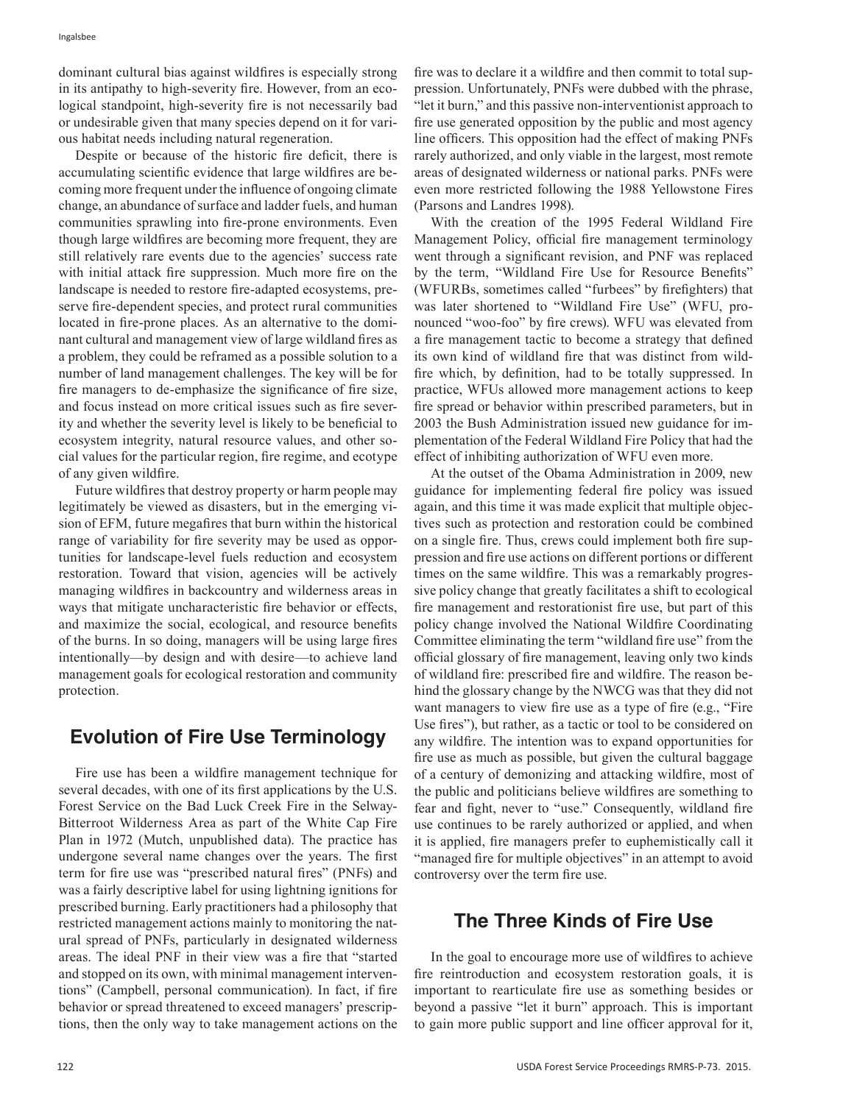dominant cultural bias against wildfires is especially strong in its antipathy to high-severity fire. However, from an ecological standpoint, high-severity fire is not necessarily bad or undesirable given that many species depend on it for various habitat needs including natural regeneration.

Despite or because of the historic fire deficit, there is accumulating scientific evidence that large wildfires are becoming more frequent under the influence of ongoing climate change, an abundance of surface and ladder fuels, and human communities sprawling into fire-prone environments. Even though large wildfires are becoming more frequent, they are still relatively rare events due to the agencies' success rate with initial attack fire suppression. Much more fire on the landscape is needed to restore fire-adapted ecosystems, preserve fire-dependent species, and protect rural communities located in fire-prone places. As an alternative to the dominant cultural and management view of large wildland fires as a problem, they could be reframed as a possible solution to a number of land management challenges. The key will be for fire managers to de-emphasize the significance of fire size, and focus instead on more critical issues such as fire severity and whether the severity level is likely to be beneficial to ecosystem integrity, natural resource values, and other social values for the particular region, fire regime, and ecotype of any given wildfire.

Future wildfires that destroy property or harm people may legitimately be viewed as disasters, but in the emerging vision of EFM, future megafires that burn within the historical range of variability for fire severity may be used as opportunities for landscape-level fuels reduction and ecosystem restoration. Toward that vision, agencies will be actively managing wildfires in backcountry and wilderness areas in ways that mitigate uncharacteristic fire behavior or effects, and maximize the social, ecological, and resource benefits of the burns. In so doing, managers will be using large fires intentionally—by design and with desire—to achieve land management goals for ecological restoration and community protection.

# **Evolution of Fire Use Terminology**

Fire use has been a wildfire management technique for several decades, with one of its first applications by the U.S. Forest Service on the Bad Luck Creek Fire in the Selway-Bitterroot Wilderness Area as part of the White Cap Fire Plan in 1972 (Mutch, unpublished data). The practice has undergone several name changes over the years. The first term for fire use was "prescribed natural fires" (PNFs) and was a fairly descriptive label for using lightning ignitions for prescribed burning. Early practitioners had a philosophy that restricted management actions mainly to monitoring the natural spread of PNFs, particularly in designated wilderness areas. The ideal PNF in their view was a fire that "started and stopped on its own, with minimal management interventions" (Campbell, personal communication). In fact, if fire behavior or spread threatened to exceed managers' prescriptions, then the only way to take management actions on the fire was to declare it a wildfire and then commit to total suppression. Unfortunately, PNFs were dubbed with the phrase, "let it burn," and this passive non-interventionist approach to fire use generated opposition by the public and most agency line officers. This opposition had the effect of making PNFs rarely authorized, and only viable in the largest, most remote areas of designated wilderness or national parks. PNFs were even more restricted following the 1988 Yellowstone Fires (Parsons and Landres 1998).

With the creation of the 1995 Federal Wildland Fire Management Policy, official fire management terminology went through a significant revision, and PNF was replaced by the term, "Wildland Fire Use for Resource Benefits" (WFURBs, sometimes called "furbees" by firefighters) that was later shortened to "Wildland Fire Use" (WFU, pronounced "woo-foo" by fire crews). WFU was elevated from a fire management tactic to become a strategy that defined its own kind of wildland fire that was distinct from wildfire which, by definition, had to be totally suppressed. In practice, WFUs allowed more management actions to keep fire spread or behavior within prescribed parameters, but in 2003 the Bush Administration issued new guidance for implementation of the Federal Wildland Fire Policy that had the effect of inhibiting authorization of WFU even more.

At the outset of the Obama Administration in 2009, new guidance for implementing federal fire policy was issued again, and this time it was made explicit that multiple objectives such as protection and restoration could be combined on a single fire. Thus, crews could implement both fire suppression and fire use actions on different portions or different times on the same wildfire. This was a remarkably progressive policy change that greatly facilitates a shift to ecological fire management and restorationist fire use, but part of this policy change involved the National Wildfire Coordinating Committee eliminating the term "wildland fire use" from the official glossary of fire management, leaving only two kinds of wildland fire: prescribed fire and wildfire. The reason behind the glossary change by the NWCG was that they did not want managers to view fire use as a type of fire (e.g., "Fire Use fires"), but rather, as a tactic or tool to be considered on any wildfire. The intention was to expand opportunities for fire use as much as possible, but given the cultural baggage of a century of demonizing and attacking wildfire, most of the public and politicians believe wildfires are something to fear and fight, never to "use." Consequently, wildland fire use continues to be rarely authorized or applied, and when it is applied, fire managers prefer to euphemistically call it "managed fire for multiple objectives" in an attempt to avoid controversy over the term fire use.

# **The Three Kinds of Fire Use**

In the goal to encourage more use of wildfires to achieve fire reintroduction and ecosystem restoration goals, it is important to rearticulate fire use as something besides or beyond a passive "let it burn" approach. This is important to gain more public support and line officer approval for it,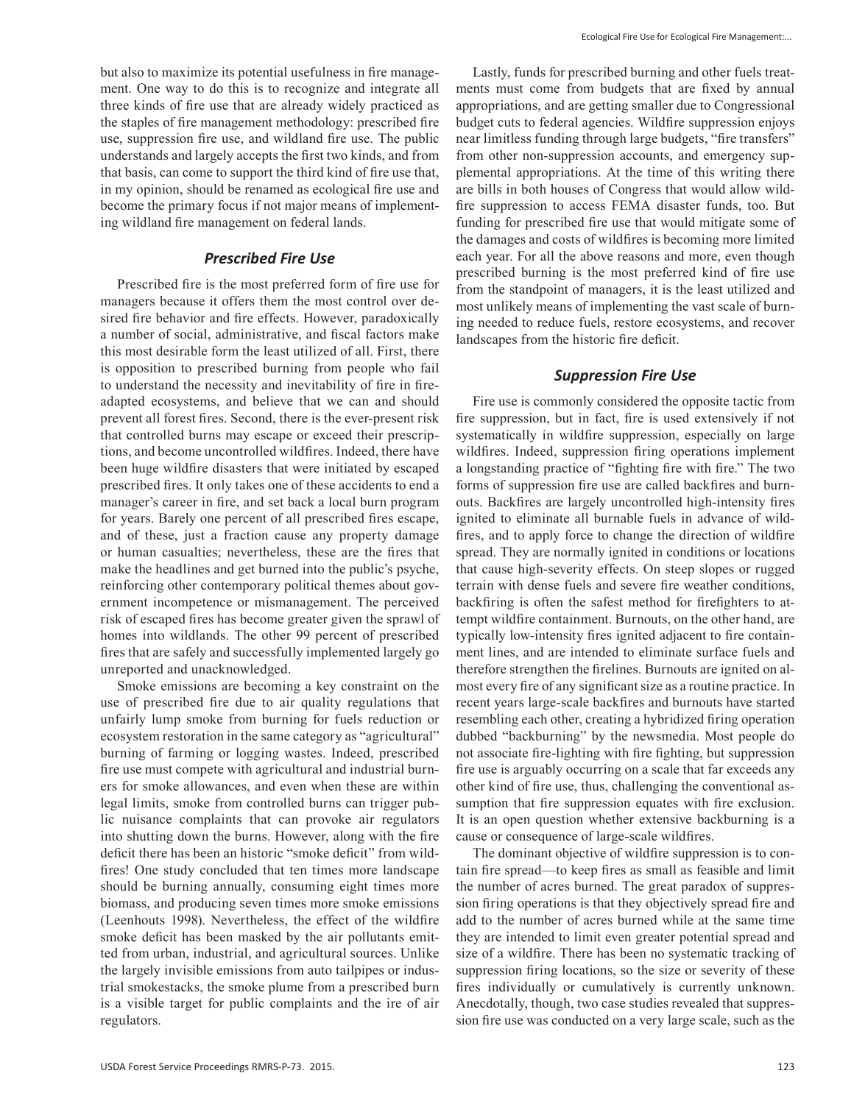but also to maximize its potential usefulness in fire management. One way to do this is to recognize and integrate all three kinds of fire use that are already widely practiced as the staples of fire management methodology: prescribed fire use, suppression fire use, and wildland fire use. The public understands and largely accepts the first two kinds, and from that basis, can come to support the third kind of fire use that, in my opinion, should be renamed as ecological fire use and become the primary focus if not major means of implementing wildland fire management on federal lands.

#### *Prescribed Fire Use*

Prescribed fire is the most preferred form of fire use for managers because it offers them the most control over desired fire behavior and fire effects. However, paradoxically a number of social, administrative, and fiscal factors make this most desirable form the least utilized of all. First, there is opposition to prescribed burning from people who fail to understand the necessity and inevitability of fire in fireadapted ecosystems, and believe that we can and should prevent all forest fires. Second, there is the ever-present risk that controlled burns may escape or exceed their prescriptions, and become uncontrolled wildfires. Indeed, there have been huge wildfire disasters that were initiated by escaped prescribed fires. It only takes one of these accidents to end a manager's career in fire, and set back a local burn program for years. Barely one percent of all prescribed fires escape, and of these, just a fraction cause any property damage or human casualties; nevertheless, these are the fires that make the headlines and get burned into the public's psyche, reinforcing other contemporary political themes about government incompetence or mismanagement. The perceived risk of escaped fires has become greater given the sprawl of homes into wildlands. The other 99 percent of prescribed fires that are safely and successfully implemented largely go unreported and unacknowledged.

Smoke emissions are becoming a key constraint on the use of prescribed fire due to air quality regulations that unfairly lump smoke from burning for fuels reduction or ecosystem restoration in the same category as "agricultural" burning of farming or logging wastes. Indeed, prescribed fire use must compete with agricultural and industrial burners for smoke allowances, and even when these are within legal limits, smoke from controlled burns can trigger public nuisance complaints that can provoke air regulators into shutting down the burns. However, along with the fire deficit there has been an historic "smoke deficit" from wildfires! One study concluded that ten times more landscape should be burning annually, consuming eight times more biomass, and producing seven times more smoke emissions (Leenhouts 1998). Nevertheless, the effect of the wildfire smoke deficit has been masked by the air pollutants emitted from urban, industrial, and agricultural sources. Unlike the largely invisible emissions from auto tailpipes or industrial smokestacks, the smoke plume from a prescribed burn is a visible target for public complaints and the ire of air regulators.

Lastly, funds for prescribed burning and other fuels treatments must come from budgets that are fixed by annual appropriations, and are getting smaller due to Congressional budget cuts to federal agencies. Wildfire suppression enjoys near limitless funding through large budgets, "fire transfers" from other non-suppression accounts, and emergency supplemental appropriations. At the time of this writing there are bills in both houses of Congress that would allow wildfire suppression to access FEMA disaster funds, too. But funding for prescribed fire use that would mitigate some of the damages and costs of wildfires is becoming more limited each year. For all the above reasons and more, even though prescribed burning is the most preferred kind of fire use from the standpoint of managers, it is the least utilized and most unlikely means of implementing the vast scale of burning needed to reduce fuels, restore ecosystems, and recover landscapes from the historic fire deficit.

#### *Suppression Fire Use*

Fire use is commonly considered the opposite tactic from fire suppression, but in fact, fire is used extensively if not systematically in wildfire suppression, especially on large wildfires. Indeed, suppression firing operations implement a longstanding practice of "fighting fire with fire." The two forms of suppression fire use are called backfires and burnouts. Backfires are largely uncontrolled high-intensity fires ignited to eliminate all burnable fuels in advance of wildfires, and to apply force to change the direction of wildfire spread. They are normally ignited in conditions or locations that cause high-severity effects. On steep slopes or rugged terrain with dense fuels and severe fire weather conditions, backfiring is often the safest method for firefighters to attempt wildfire containment. Burnouts, on the other hand, are typically low-intensity fires ignited adjacent to fire containment lines, and are intended to eliminate surface fuels and therefore strengthen the firelines. Burnouts are ignited on almost every fire of any significant size as a routine practice. In recent years large-scale backfires and burnouts have started resembling each other, creating a hybridized firing operation dubbed "backburning" by the newsmedia. Most people do not associate fire-lighting with fire fighting, but suppression fire use is arguably occurring on a scale that far exceeds any other kind of fire use, thus, challenging the conventional assumption that fire suppression equates with fire exclusion. It is an open question whether extensive backburning is a cause or consequence of large-scale wildfires.

The dominant objective of wildfire suppression is to contain fire spread—to keep fires as small as feasible and limit the number of acres burned. The great paradox of suppression firing operations is that they objectively spread fire and add to the number of acres burned while at the same time they are intended to limit even greater potential spread and size of a wildfire. There has been no systematic tracking of suppression firing locations, so the size or severity of these fires individually or cumulatively is currently unknown. Anecdotally, though, two case studies revealed that suppression fire use was conducted on a very large scale, such as the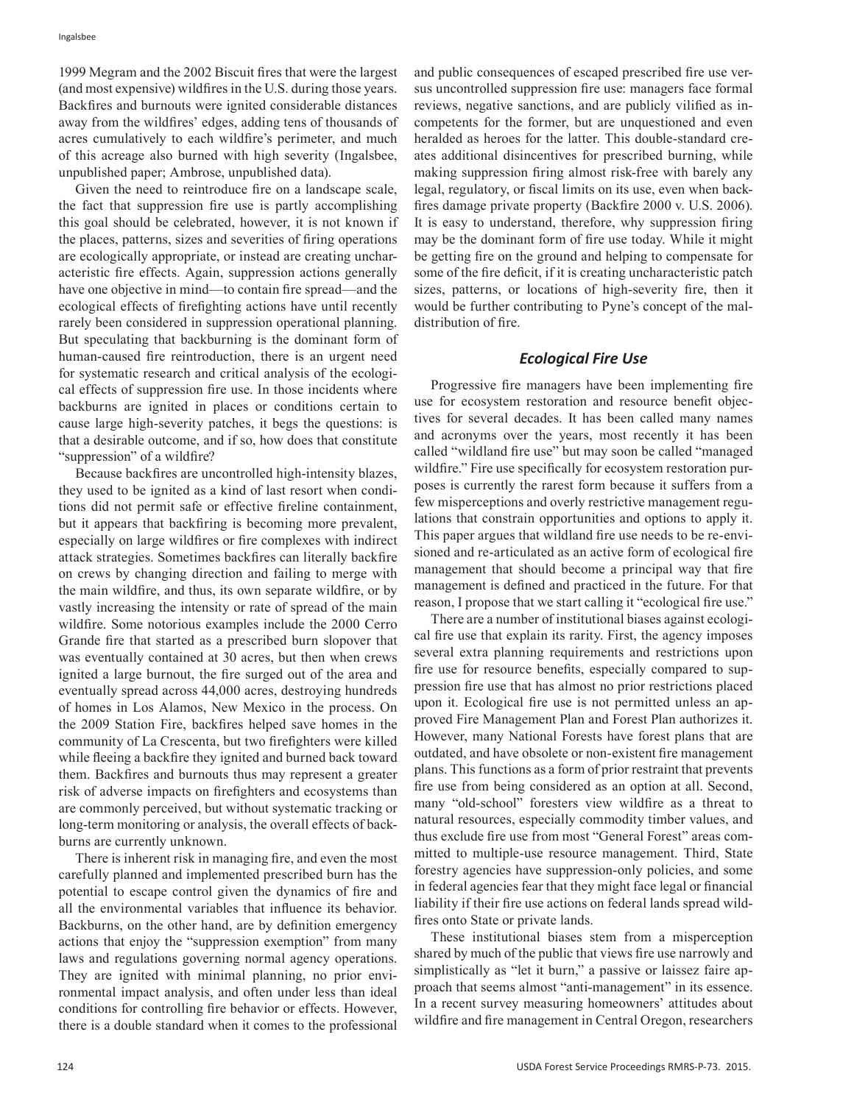1999 Megram and the 2002 Biscuit fires that were the largest (and most expensive) wildfires in the U.S. during those years. Backfires and burnouts were ignited considerable distances away from the wildfires' edges, adding tens of thousands of acres cumulatively to each wildfire's perimeter, and much of this acreage also burned with high severity (Ingalsbee, unpublished paper; Ambrose, unpublished data).

Given the need to reintroduce fire on a landscape scale, the fact that suppression fire use is partly accomplishing this goal should be celebrated, however, it is not known if the places, patterns, sizes and severities of firing operations are ecologically appropriate, or instead are creating uncharacteristic fire effects. Again, suppression actions generally have one objective in mind—to contain fire spread—and the ecological effects of firefighting actions have until recently rarely been considered in suppression operational planning. But speculating that backburning is the dominant form of human-caused fire reintroduction, there is an urgent need for systematic research and critical analysis of the ecological effects of suppression fire use. In those incidents where backburns are ignited in places or conditions certain to cause large high-severity patches, it begs the questions: is that a desirable outcome, and if so, how does that constitute "suppression" of a wildfire?

Because backfires are uncontrolled high-intensity blazes, they used to be ignited as a kind of last resort when conditions did not permit safe or effective fireline containment, but it appears that backfiring is becoming more prevalent, especially on large wildfires or fire complexes with indirect attack strategies. Sometimes backfires can literally backfire on crews by changing direction and failing to merge with the main wildfire, and thus, its own separate wildfire, or by vastly increasing the intensity or rate of spread of the main wildfire. Some notorious examples include the 2000 Cerro Grande fire that started as a prescribed burn slopover that was eventually contained at 30 acres, but then when crews ignited a large burnout, the fire surged out of the area and eventually spread across 44,000 acres, destroying hundreds of homes in Los Alamos, New Mexico in the process. On the 2009 Station Fire, backfires helped save homes in the community of La Crescenta, but two firefighters were killed while fleeing a backfire they ignited and burned back toward them. Backfires and burnouts thus may represent a greater risk of adverse impacts on firefighters and ecosystems than are commonly perceived, but without systematic tracking or long-term monitoring or analysis, the overall effects of backburns are currently unknown.

There is inherent risk in managing fire, and even the most carefully planned and implemented prescribed burn has the potential to escape control given the dynamics of fire and all the environmental variables that influence its behavior. Backburns, on the other hand, are by definition emergency actions that enjoy the "suppression exemption" from many laws and regulations governing normal agency operations. They are ignited with minimal planning, no prior environmental impact analysis, and often under less than ideal conditions for controlling fire behavior or effects. However, there is a double standard when it comes to the professional and public consequences of escaped prescribed fire use versus uncontrolled suppression fire use: managers face formal reviews, negative sanctions, and are publicly vilified as incompetents for the former, but are unquestioned and even heralded as heroes for the latter. This double-standard creates additional disincentives for prescribed burning, while making suppression firing almost risk-free with barely any legal, regulatory, or fiscal limits on its use, even when backfires damage private property (Backfire 2000 v. U.S. 2006). It is easy to understand, therefore, why suppression firing may be the dominant form of fire use today. While it might be getting fire on the ground and helping to compensate for some of the fire deficit, if it is creating uncharacteristic patch sizes, patterns, or locations of high-severity fire, then it would be further contributing to Pyne's concept of the maldistribution of fire.

#### *Ecological Fire Use*

Progressive fire managers have been implementing fire use for ecosystem restoration and resource benefit objectives for several decades. It has been called many names and acronyms over the years, most recently it has been called "wildland fire use" but may soon be called "managed wildfire." Fire use specifically for ecosystem restoration purposes is currently the rarest form because it suffers from a few misperceptions and overly restrictive management regulations that constrain opportunities and options to apply it. This paper argues that wildland fire use needs to be re-envisioned and re-articulated as an active form of ecological fire management that should become a principal way that fire management is defined and practiced in the future. For that reason, I propose that we start calling it "ecological fire use."

There are a number of institutional biases against ecological fire use that explain its rarity. First, the agency imposes several extra planning requirements and restrictions upon fire use for resource benefits, especially compared to suppression fire use that has almost no prior restrictions placed upon it. Ecological fire use is not permitted unless an approved Fire Management Plan and Forest Plan authorizes it. However, many National Forests have forest plans that are outdated, and have obsolete or non-existent fire management plans. This functions as a form of prior restraint that prevents fire use from being considered as an option at all. Second, many "old-school" foresters view wildfire as a threat to natural resources, especially commodity timber values, and thus exclude fire use from most "General Forest" areas committed to multiple-use resource management. Third, State forestry agencies have suppression-only policies, and some in federal agencies fear that they might face legal or financial liability if their fire use actions on federal lands spread wildfires onto State or private lands.

These institutional biases stem from a misperception shared by much of the public that views fire use narrowly and simplistically as "let it burn," a passive or laissez faire approach that seems almost "anti-management" in its essence. In a recent survey measuring homeowners' attitudes about wildfire and fire management in Central Oregon, researchers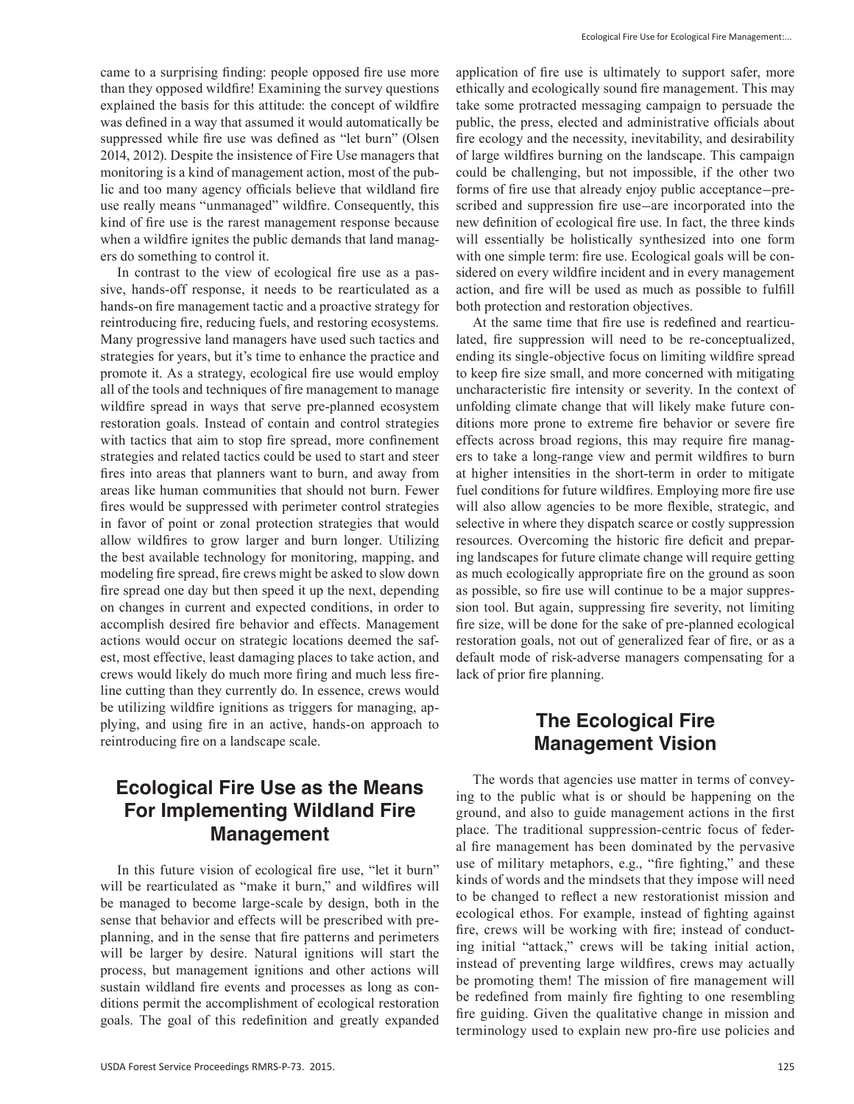came to a surprising finding: people opposed fire use more than they opposed wildfire! Examining the survey questions explained the basis for this attitude: the concept of wildfire was defined in a way that assumed it would automatically be suppressed while fire use was defined as "let burn" (Olsen 2014, 2012). Despite the insistence of Fire Use managers that monitoring is a kind of management action, most of the public and too many agency officials believe that wildland fire use really means "unmanaged" wildfire. Consequently, this kind of fire use is the rarest management response because when a wildfire ignites the public demands that land managers do something to control it.

In contrast to the view of ecological fire use as a passive, hands-off response, it needs to be rearticulated as a hands-on fire management tactic and a proactive strategy for reintroducing fire, reducing fuels, and restoring ecosystems. Many progressive land managers have used such tactics and strategies for years, but it's time to enhance the practice and promote it. As a strategy, ecological fire use would employ all of the tools and techniques of fire management to manage wildfire spread in ways that serve pre-planned ecosystem restoration goals. Instead of contain and control strategies with tactics that aim to stop fire spread, more confinement strategies and related tactics could be used to start and steer fires into areas that planners want to burn, and away from areas like human communities that should not burn. Fewer fires would be suppressed with perimeter control strategies in favor of point or zonal protection strategies that would allow wildfires to grow larger and burn longer. Utilizing the best available technology for monitoring, mapping, and modeling fire spread, fire crews might be asked to slow down fire spread one day but then speed it up the next, depending on changes in current and expected conditions, in order to accomplish desired fire behavior and effects. Management actions would occur on strategic locations deemed the safest, most effective, least damaging places to take action, and crews would likely do much more firing and much less fireline cutting than they currently do. In essence, crews would be utilizing wildfire ignitions as triggers for managing, applying, and using fire in an active, hands-on approach to reintroducing fire on a landscape scale.

### **Ecological Fire Use as the Means For Implementing Wildland Fire Management**

In this future vision of ecological fire use, "let it burn" will be rearticulated as "make it burn," and wildfires will be managed to become large-scale by design, both in the sense that behavior and effects will be prescribed with preplanning, and in the sense that fire patterns and perimeters will be larger by desire. Natural ignitions will start the process, but management ignitions and other actions will sustain wildland fire events and processes as long as conditions permit the accomplishment of ecological restoration goals. The goal of this redefinition and greatly expanded application of fire use is ultimately to support safer, more ethically and ecologically sound fire management. This may take some protracted messaging campaign to persuade the public, the press, elected and administrative officials about fire ecology and the necessity, inevitability, and desirability of large wildfires burning on the landscape. This campaign could be challenging, but not impossible, if the other two forms of fire use that already enjoy public acceptance*—*prescribed and suppression fire use*—*are incorporated into the new definition of ecological fire use. In fact, the three kinds will essentially be holistically synthesized into one form with one simple term: fire use. Ecological goals will be considered on every wildfire incident and in every management action, and fire will be used as much as possible to fulfill both protection and restoration objectives.

At the same time that fire use is redefined and rearticulated, fire suppression will need to be re-conceptualized, ending its single-objective focus on limiting wildfire spread to keep fire size small, and more concerned with mitigating uncharacteristic fire intensity or severity. In the context of unfolding climate change that will likely make future conditions more prone to extreme fire behavior or severe fire effects across broad regions, this may require fire managers to take a long-range view and permit wildfires to burn at higher intensities in the short-term in order to mitigate fuel conditions for future wildfires. Employing more fire use will also allow agencies to be more flexible, strategic, and selective in where they dispatch scarce or costly suppression resources. Overcoming the historic fire deficit and preparing landscapes for future climate change will require getting as much ecologically appropriate fire on the ground as soon as possible, so fire use will continue to be a major suppression tool. But again, suppressing fire severity, not limiting fire size, will be done for the sake of pre-planned ecological restoration goals, not out of generalized fear of fire, or as a default mode of risk-adverse managers compensating for a lack of prior fire planning.

### **The Ecological Fire Management Vision**

The words that agencies use matter in terms of conveying to the public what is or should be happening on the ground, and also to guide management actions in the first place. The traditional suppression-centric focus of federal fire management has been dominated by the pervasive use of military metaphors, e.g., "fire fighting," and these kinds of words and the mindsets that they impose will need to be changed to reflect a new restorationist mission and ecological ethos. For example, instead of fighting against fire, crews will be working with fire; instead of conducting initial "attack," crews will be taking initial action, instead of preventing large wildfires, crews may actually be promoting them! The mission of fire management will be redefined from mainly fire fighting to one resembling fire guiding. Given the qualitative change in mission and terminology used to explain new pro-fire use policies and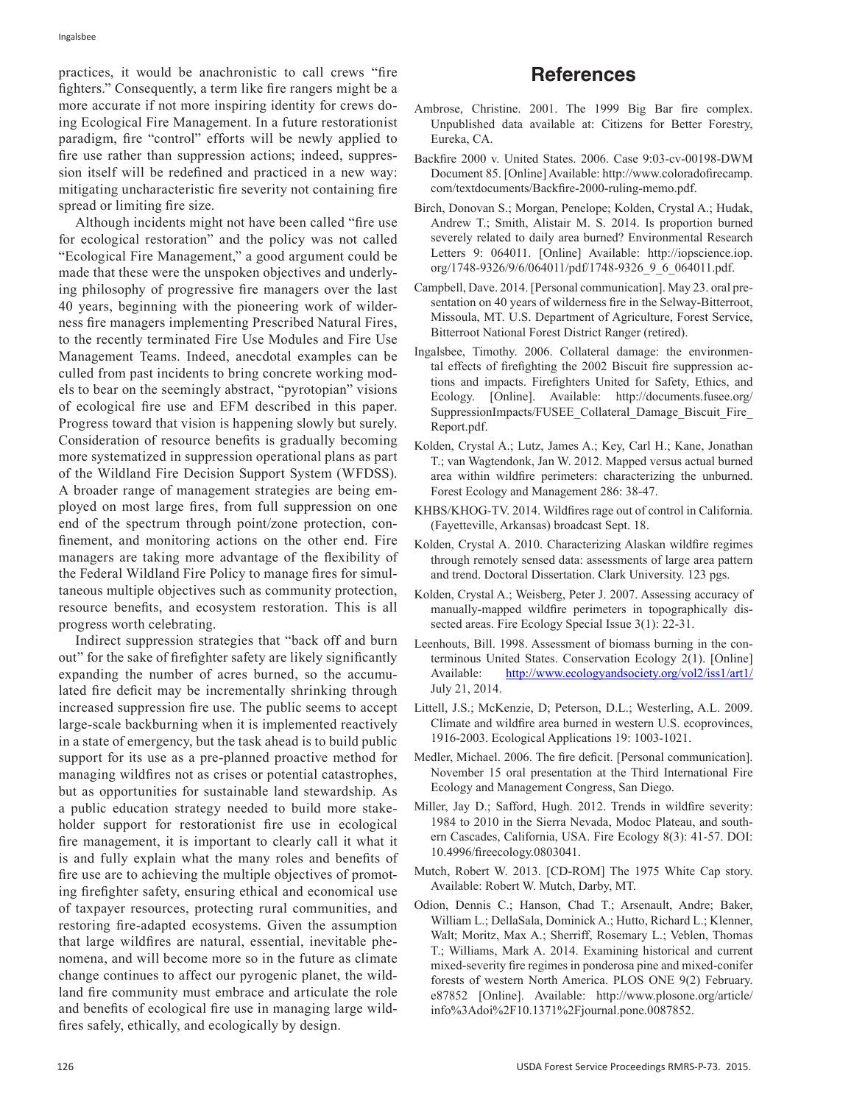practices, it would be anachronistic to call crews "fire fighters." Consequently, a term like fire rangers might be a more accurate if not more inspiring identity for crews doing Ecological Fire Management. In a future restorationist paradigm, fire "control" efforts will be newly applied to fire use rather than suppression actions; indeed, suppression itself will be redefined and practiced in a new way: mitigating uncharacteristic fire severity not containing fire spread or limiting fire size.

Although incidents might not have been called "fire use for ecological restoration" and the policy was not called "Ecological Fire Management," a good argument could be made that these were the unspoken objectives and underlying philosophy of progressive fire managers over the last 40 years, beginning with the pioneering work of wilderness fire managers implementing Prescribed Natural Fires, to the recently terminated Fire Use Modules and Fire Use Management Teams. Indeed, anecdotal examples can be culled from past incidents to bring concrete working models to bear on the seemingly abstract, "pyrotopian" visions of ecological fire use and EFM described in this paper. Progress toward that vision is happening slowly but surely. Consideration of resource benefits is gradually becoming more systematized in suppression operational plans as part of the Wildland Fire Decision Support System (WFDSS). A broader range of management strategies are being employed on most large fires, from full suppression on one end of the spectrum through point/zone protection, confinement, and monitoring actions on the other end. Fire managers are taking more advantage of the flexibility of the Federal Wildland Fire Policy to manage fires for simultaneous multiple objectives such as community protection, resource benefits, and ecosystem restoration. This is all progress worth celebrating.

Indirect suppression strategies that "back off and burn out" for the sake of firefighter safety are likely significantly expanding the number of acres burned, so the accumulated fire deficit may be incrementally shrinking through increased suppression fire use. The public seems to accept large-scale backburning when it is implemented reactively in a state of emergency, but the task ahead is to build public support for its use as a pre-planned proactive method for managing wildfires not as crises or potential catastrophes, but as opportunities for sustainable land stewardship. As a public education strategy needed to build more stakeholder support for restorationist fire use in ecological fire management, it is important to clearly call it what it is and fully explain what the many roles and benefits of fire use are to achieving the multiple objectives of promoting firefighter safety, ensuring ethical and economical use of taxpayer resources, protecting rural communities, and restoring fire-adapted ecosystems. Given the assumption that large wildfires are natural, essential, inevitable phenomena, and will become more so in the future as climate change continues to affect our pyrogenic planet, the wildland fire community must embrace and articulate the role and benefits of ecological fire use in managing large wildfires safely, ethically, and ecologically by design.

- Ambrose, Christine. 2001. The 1999 Big Bar fire complex. Unpublished data available at: Citizens for Better Forestry, Eureka, CA.
- Backfire 2000 v. United States. 2006. Case 9:03-cv-00198-DWM Document 85. [Online] Available: http://www.coloradofirecamp. com/textdocuments/Backfire-2000-ruling-memo.pdf.
- Birch, Donovan S.; Morgan, Penelope; Kolden, Crystal A.; Hudak, Andrew T.; Smith, Alistair M. S. 2014. Is proportion burned severely related to daily area burned? Environmental Research Letters 9: 064011. [Online] Available: http://iopscience.iop. org/1748-9326/9/6/064011/pdf/1748-9326\_9\_6\_064011.pdf.
- Campbell, Dave. 2014. [Personal communication]. May 23. oral presentation on 40 years of wilderness fire in the Selway-Bitterroot, Missoula, MT. U.S. Department of Agriculture, Forest Service, Bitterroot National Forest District Ranger (retired).
- Ingalsbee, Timothy. 2006. Collateral damage: the environmental effects of firefighting the 2002 Biscuit fire suppression actions and impacts. Firefighters United for Safety, Ethics, and Ecology. [Online]. Available: http://documents.fusee.org/ SuppressionImpacts/FUSEE\_Collateral\_Damage\_Biscuit\_Fire Report.pdf.
- Kolden, Crystal A.; Lutz, James A.; Key, Carl H.; Kane, Jonathan T.; van Wagtendonk, Jan W. 2012. Mapped versus actual burned area within wildfire perimeters: characterizing the unburned. Forest Ecology and Management 286: 38-47.
- KHBS/KHOG-TV. 2014. Wildfires rage out of control in California. (Fayetteville, Arkansas) broadcast Sept. 18.
- Kolden, Crystal A. 2010. Characterizing Alaskan wildfire regimes through remotely sensed data: assessments of large area pattern and trend. Doctoral Dissertation. Clark University. 123 pgs.
- Kolden, Crystal A.; Weisberg, Peter J. 2007. Assessing accuracy of manually-mapped wildfire perimeters in topographically dissected areas. Fire Ecology Special Issue 3(1): 22-31.
- Leenhouts, Bill. 1998. Assessment of biomass burning in the conterminous United States. Conservation Ecology 2(1). [Online] Available: http://www.ecologyandsociety.org/vol2/iss1/art1/ July 21, 2014.
- Littell, J.S.; McKenzie, D; Peterson, D.L.; Westerling, A.L. 2009. Climate and wildfire area burned in western U.S. ecoprovinces, 1916-2003. Ecological Applications 19: 1003-1021.
- Medler, Michael. 2006. The fire deficit. [Personal communication]. November 15 oral presentation at the Third International Fire Ecology and Management Congress, San Diego.
- Miller, Jay D.; Safford, Hugh. 2012. Trends in wildfire severity: 1984 to 2010 in the Sierra Nevada, Modoc Plateau, and southern Cascades, California, USA. Fire Ecology 8(3): 41-57. DOI: 10.4996/fireecology.0803041.
- Mutch, Robert W. 2013. [CD-ROM] The 1975 White Cap story. Available: Robert W. Mutch, Darby, MT.
- Odion, Dennis C.; Hanson, Chad T.; Arsenault, Andre; Baker, William L.; DellaSala, Dominick A.; Hutto, Richard L.; Klenner, Walt; Moritz, Max A.; Sherriff, Rosemary L.; Veblen, Thomas T.; Williams, Mark A. 2014. Examining historical and current mixed-severity fire regimes in ponderosa pine and mixed-conifer forests of western North America. PLOS ONE 9(2) February. e87852 [Online]. Available: http://www.plosone.org/article/ info%3Adoi%2F10.1371%2Fjournal.pone.0087852.